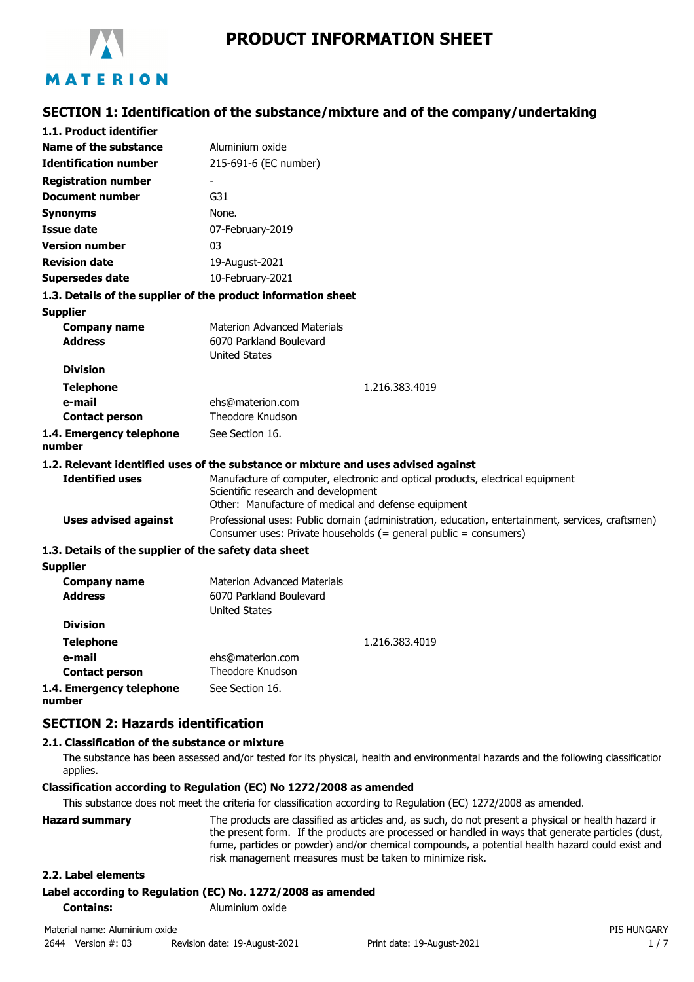

# **SECTION 1: Identification of the substance/mixture and of the company/undertaking**

| 1.1. Product identifier                               |                                                                                                                                                                              |
|-------------------------------------------------------|------------------------------------------------------------------------------------------------------------------------------------------------------------------------------|
| Name of the substance                                 | Aluminium oxide                                                                                                                                                              |
| <b>Identification number</b>                          | 215-691-6 (EC number)                                                                                                                                                        |
| <b>Registration number</b>                            |                                                                                                                                                                              |
| <b>Document number</b>                                | G31                                                                                                                                                                          |
| <b>Synonyms</b>                                       | None.                                                                                                                                                                        |
| <b>Issue date</b>                                     | 07-February-2019                                                                                                                                                             |
| <b>Version number</b>                                 | 03                                                                                                                                                                           |
| <b>Revision date</b>                                  | 19-August-2021                                                                                                                                                               |
| <b>Supersedes date</b>                                | 10-February-2021                                                                                                                                                             |
|                                                       | 1.3. Details of the supplier of the product information sheet                                                                                                                |
| <b>Supplier</b>                                       |                                                                                                                                                                              |
| <b>Company name</b>                                   | <b>Materion Advanced Materials</b>                                                                                                                                           |
| <b>Address</b>                                        | 6070 Parkland Boulevard                                                                                                                                                      |
| <b>Division</b>                                       | <b>United States</b>                                                                                                                                                         |
|                                                       | 1.216.383.4019                                                                                                                                                               |
| <b>Telephone</b><br>e-mail                            | ehs@materion.com                                                                                                                                                             |
| <b>Contact person</b>                                 | Theodore Knudson                                                                                                                                                             |
| 1.4. Emergency telephone<br>number                    | See Section 16.                                                                                                                                                              |
|                                                       | 1.2. Relevant identified uses of the substance or mixture and uses advised against                                                                                           |
| <b>Identified uses</b>                                | Manufacture of computer, electronic and optical products, electrical equipment<br>Scientific research and development<br>Other: Manufacture of medical and defense equipment |
| <b>Uses advised against</b>                           | Professional uses: Public domain (administration, education, entertainment, services, craftsmen)<br>Consumer uses: Private households $(=$ general public = consumers)       |
| 1.3. Details of the supplier of the safety data sheet |                                                                                                                                                                              |
| <b>Supplier</b>                                       |                                                                                                                                                                              |
| <b>Company name</b>                                   | <b>Materion Advanced Materials</b>                                                                                                                                           |
| <b>Address</b>                                        | 6070 Parkland Boulevard                                                                                                                                                      |
| <b>Division</b>                                       | <b>United States</b>                                                                                                                                                         |
|                                                       |                                                                                                                                                                              |
| <b>Telephone</b><br>e-mail                            | 1.216.383.4019                                                                                                                                                               |
| <b>Contact person</b>                                 | ehs@materion.com<br><b>Theodore Knudson</b>                                                                                                                                  |
| 1.4. Emergency telephone                              | See Section 16.                                                                                                                                                              |
|                                                       |                                                                                                                                                                              |

**number**

# **SECTION 2: Hazards identification**

#### **2.1. Classification of the substance or mixture**

The substance has been assessed and/or tested for its physical, health and environmental hazards and the following classification applies.

#### **Classification according to Regulation (EC) No 1272/2008 as amended**

This substance does not meet the criteria for classification according to Regulation (EC) 1272/2008 as amended.

| <b>Hazard summary</b> | The products are classified as articles and, as such, do not present a physical or health hazard ir<br>the present form. If the products are processed or handled in ways that generate particles (dust,<br>fume, particles or powder) and/or chemical compounds, a potential health hazard could exist and<br>risk management measures must be taken to minimize risk. |
|-----------------------|-------------------------------------------------------------------------------------------------------------------------------------------------------------------------------------------------------------------------------------------------------------------------------------------------------------------------------------------------------------------------|
|                       |                                                                                                                                                                                                                                                                                                                                                                         |

#### **2.2. Label elements**

#### **Label according to Regulation (EC) No. 1272/2008 as amended**

**Contains:** Aluminium oxide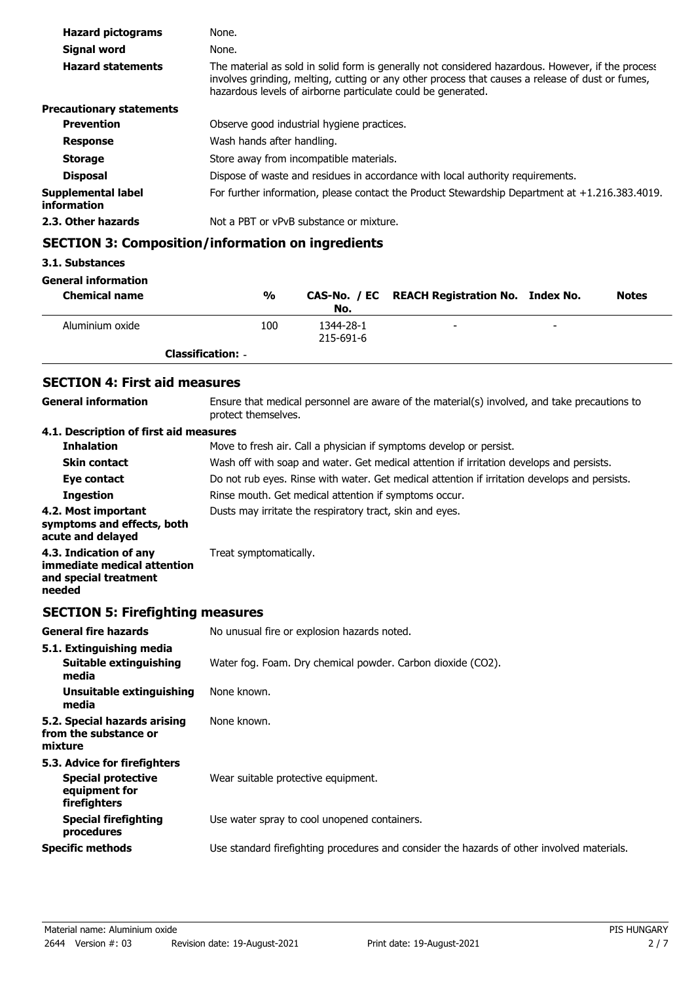| <b>Hazard pictograms</b>          | None.                                                                                                                                                                                                                                                                 |
|-----------------------------------|-----------------------------------------------------------------------------------------------------------------------------------------------------------------------------------------------------------------------------------------------------------------------|
| Signal word                       | None.                                                                                                                                                                                                                                                                 |
| <b>Hazard statements</b>          | The material as sold in solid form is generally not considered hazardous. However, if the process<br>involves grinding, melting, cutting or any other process that causes a release of dust or fumes,<br>hazardous levels of airborne particulate could be generated. |
| <b>Precautionary statements</b>   |                                                                                                                                                                                                                                                                       |
| <b>Prevention</b>                 | Observe good industrial hygiene practices.                                                                                                                                                                                                                            |
| <b>Response</b>                   | Wash hands after handling.                                                                                                                                                                                                                                            |
| <b>Storage</b>                    | Store away from incompatible materials.                                                                                                                                                                                                                               |
| <b>Disposal</b>                   | Dispose of waste and residues in accordance with local authority requirements.                                                                                                                                                                                        |
| Supplemental label<br>information | For further information, please contact the Product Stewardship Department at $+1.216.383.4019$ .                                                                                                                                                                     |
| 2.3. Other hazards                | Not a PBT or vPvB substance or mixture.                                                                                                                                                                                                                               |

# **SECTION 3: Composition/information on ingredients**

# **3.1. Substances**

#### **General information**

| <b>Chemical name</b> | $\frac{0}{0}$            | No.                    | CAS-No. / EC REACH Registration No. Index No. |                          | <b>Notes</b> |
|----------------------|--------------------------|------------------------|-----------------------------------------------|--------------------------|--------------|
| Aluminium oxide      | 100                      | 1344-28-1<br>215-691-6 | -                                             | $\overline{\phantom{0}}$ |              |
|                      | <b>Classification: -</b> |                        |                                               |                          |              |

# **SECTION 4: First aid measures**

| General information                                                                      | Ensure that medical personnel are aware of the material(s) involved, and take precautions to<br>protect themselves. |  |  |
|------------------------------------------------------------------------------------------|---------------------------------------------------------------------------------------------------------------------|--|--|
| 4.1. Description of first aid measures                                                   |                                                                                                                     |  |  |
| <b>Inhalation</b>                                                                        | Move to fresh air. Call a physician if symptoms develop or persist.                                                 |  |  |
| <b>Skin contact</b>                                                                      | Wash off with soap and water. Get medical attention if irritation develops and persists.                            |  |  |
| Eye contact                                                                              | Do not rub eyes. Rinse with water. Get medical attention if irritation develops and persists.                       |  |  |
| <b>Ingestion</b>                                                                         | Rinse mouth. Get medical attention if symptoms occur.                                                               |  |  |
| 4.2. Most important<br>symptoms and effects, both<br>acute and delayed                   | Dusts may irritate the respiratory tract, skin and eyes.                                                            |  |  |
| 4.3. Indication of any<br>immediate medical attention<br>and special treatment<br>needed | Treat symptomatically.                                                                                              |  |  |

# **SECTION 5: Firefighting measures**

| <b>General fire hazards</b>                                                                | No unusual fire or explosion hazards noted.                                                |  |  |
|--------------------------------------------------------------------------------------------|--------------------------------------------------------------------------------------------|--|--|
| 5.1. Extinguishing media                                                                   |                                                                                            |  |  |
| Suitable extinguishing<br>media                                                            | Water fog. Foam. Dry chemical powder. Carbon dioxide (CO2).                                |  |  |
| Unsuitable extinguishing<br>media                                                          | None known.                                                                                |  |  |
| 5.2. Special hazards arising<br>from the substance or<br>mixture                           | None known.                                                                                |  |  |
| 5.3. Advice for firefighters<br><b>Special protective</b><br>equipment for<br>firefighters | Wear suitable protective equipment.                                                        |  |  |
| <b>Special firefighting</b><br>procedures                                                  | Use water spray to cool unopened containers.                                               |  |  |
| <b>Specific methods</b>                                                                    | Use standard firefighting procedures and consider the hazards of other involved materials. |  |  |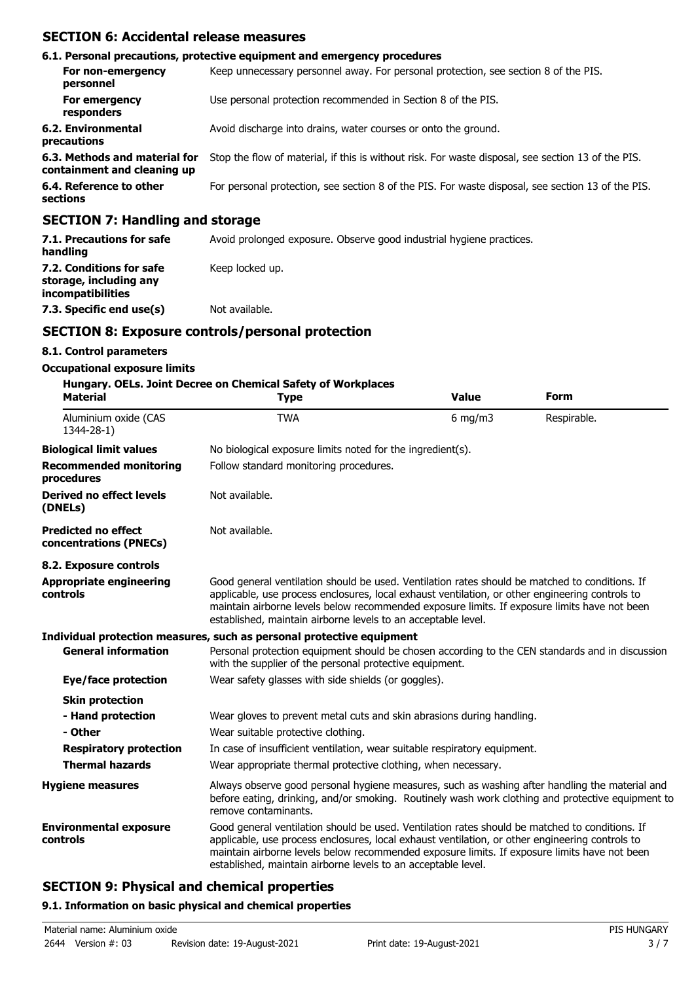## **SECTION 6: Accidental release measures**

|                                                              | 6.1. Personal precautions, protective equipment and emergency procedures                           |  |  |
|--------------------------------------------------------------|----------------------------------------------------------------------------------------------------|--|--|
| For non-emergency<br>personnel                               | Keep unnecessary personnel away. For personal protection, see section 8 of the PIS.                |  |  |
| For emergency<br>responders                                  | Use personal protection recommended in Section 8 of the PIS.                                       |  |  |
| 6.2. Environmental<br>precautions                            | Avoid discharge into drains, water courses or onto the ground.                                     |  |  |
| 6.3. Methods and material for<br>containment and cleaning up | Stop the flow of material, if this is without risk. For waste disposal, see section 13 of the PIS. |  |  |
| 6.4. Reference to other<br>sections                          | For personal protection, see section 8 of the PIS. For waste disposal, see section 13 of the PIS.  |  |  |
| CECTION 7: Handling and storage                              |                                                                                                    |  |  |

#### **SECTION 7: Handling and storage**

| 7.1. Precautions for safe<br>handling                                   | Avoid prolonged exposure. Observe good industrial hygiene practices. |  |  |
|-------------------------------------------------------------------------|----------------------------------------------------------------------|--|--|
| 7.2. Conditions for safe<br>storage, including any<br>incompatibilities | Keep locked up.                                                      |  |  |
| 7.3. Specific end use(s)                                                | Not available.                                                       |  |  |

# **SECTION 8: Exposure controls/personal protection**

#### **8.1. Control parameters**

#### **Occupational exposure limits**

#### **Hungary. OELs. Joint Decree on Chemical Safety of Workplaces**

| Material                                             | <u>Hungary. OLLS. Johnt Decree on Chemical Sarety of Workplaces</u><br><b>Type</b>                                                                                                                                                                                                                                                                                 | <b>Value</b>                           | <b>Form</b> |  |  |  |
|------------------------------------------------------|--------------------------------------------------------------------------------------------------------------------------------------------------------------------------------------------------------------------------------------------------------------------------------------------------------------------------------------------------------------------|----------------------------------------|-------------|--|--|--|
| Aluminium oxide (CAS<br>1344-28-1)                   | <b>TWA</b>                                                                                                                                                                                                                                                                                                                                                         | $6$ mg/m $3$                           | Respirable. |  |  |  |
| <b>Biological limit values</b>                       | No biological exposure limits noted for the ingredient(s).                                                                                                                                                                                                                                                                                                         |                                        |             |  |  |  |
| <b>Recommended monitoring</b><br>procedures          |                                                                                                                                                                                                                                                                                                                                                                    | Follow standard monitoring procedures. |             |  |  |  |
| <b>Derived no effect levels</b><br>(DNELs)           | Not available.                                                                                                                                                                                                                                                                                                                                                     |                                        |             |  |  |  |
| <b>Predicted no effect</b><br>concentrations (PNECs) | Not available.                                                                                                                                                                                                                                                                                                                                                     |                                        |             |  |  |  |
| 8.2. Exposure controls                               |                                                                                                                                                                                                                                                                                                                                                                    |                                        |             |  |  |  |
| <b>Appropriate engineering</b><br>controls           | Good general ventilation should be used. Ventilation rates should be matched to conditions. If<br>applicable, use process enclosures, local exhaust ventilation, or other engineering controls to<br>maintain airborne levels below recommended exposure limits. If exposure limits have not been<br>established, maintain airborne levels to an acceptable level. |                                        |             |  |  |  |
|                                                      | Individual protection measures, such as personal protective equipment                                                                                                                                                                                                                                                                                              |                                        |             |  |  |  |
| <b>General information</b>                           | Personal protection equipment should be chosen according to the CEN standards and in discussion<br>with the supplier of the personal protective equipment.                                                                                                                                                                                                         |                                        |             |  |  |  |
| Eye/face protection                                  | Wear safety glasses with side shields (or goggles).                                                                                                                                                                                                                                                                                                                |                                        |             |  |  |  |
| <b>Skin protection</b>                               |                                                                                                                                                                                                                                                                                                                                                                    |                                        |             |  |  |  |
| - Hand protection                                    | Wear gloves to prevent metal cuts and skin abrasions during handling.                                                                                                                                                                                                                                                                                              |                                        |             |  |  |  |
| - Other                                              | Wear suitable protective clothing.                                                                                                                                                                                                                                                                                                                                 |                                        |             |  |  |  |
| <b>Respiratory protection</b>                        | In case of insufficient ventilation, wear suitable respiratory equipment.                                                                                                                                                                                                                                                                                          |                                        |             |  |  |  |
| <b>Thermal hazards</b>                               | Wear appropriate thermal protective clothing, when necessary.                                                                                                                                                                                                                                                                                                      |                                        |             |  |  |  |
| <b>Hygiene measures</b>                              | Always observe good personal hygiene measures, such as washing after handling the material and<br>before eating, drinking, and/or smoking. Routinely wash work clothing and protective equipment to<br>remove contaminants.                                                                                                                                        |                                        |             |  |  |  |
| <b>Environmental exposure</b><br>controls            | Good general ventilation should be used. Ventilation rates should be matched to conditions. If<br>applicable, use process enclosures, local exhaust ventilation, or other engineering controls to<br>maintain airborne levels below recommended exposure limits. If exposure limits have not been<br>established, maintain airborne levels to an acceptable level. |                                        |             |  |  |  |

# **SECTION 9: Physical and chemical properties**

#### **9.1. Information on basic physical and chemical properties**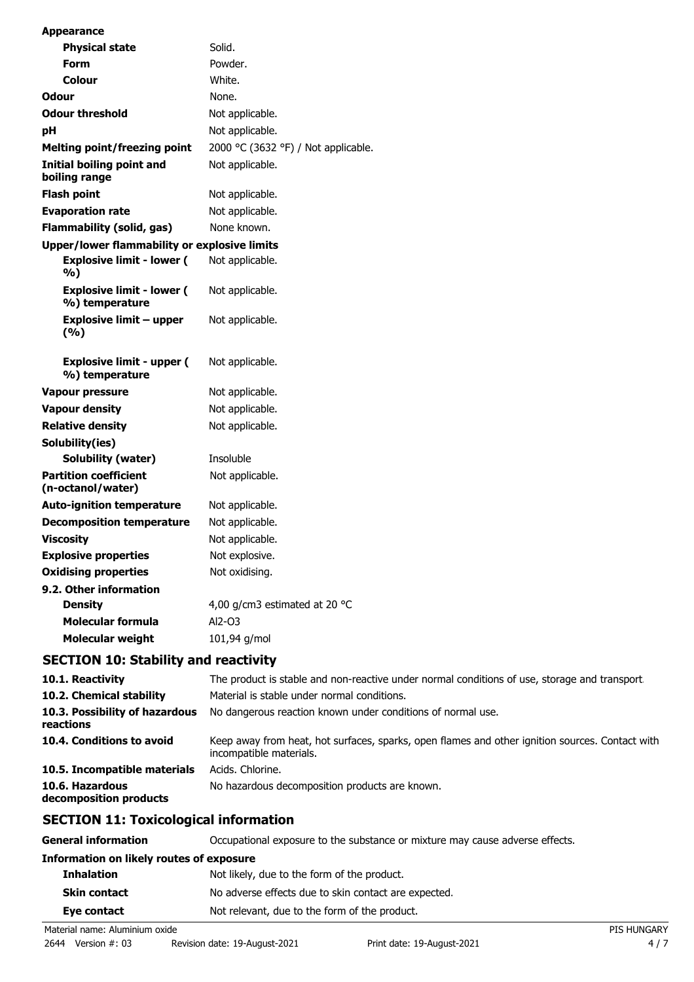| <b>Appearance</b>                                  |                                                                                              |
|----------------------------------------------------|----------------------------------------------------------------------------------------------|
| <b>Physical state</b>                              | Solid.                                                                                       |
| Form                                               | Powder.                                                                                      |
| Colour                                             | White.                                                                                       |
| <b>Odour</b>                                       | None.                                                                                        |
| <b>Odour threshold</b>                             | Not applicable.                                                                              |
| pH                                                 | Not applicable.                                                                              |
| <b>Melting point/freezing point</b>                | 2000 °C (3632 °F) / Not applicable.                                                          |
| Initial boiling point and<br>boiling range         | Not applicable.                                                                              |
| <b>Flash point</b>                                 | Not applicable.                                                                              |
| <b>Evaporation rate</b>                            | Not applicable.                                                                              |
| <b>Flammability (solid, gas)</b>                   | None known.                                                                                  |
| Upper/lower flammability or explosive limits       |                                                                                              |
| <b>Explosive limit - lower (</b><br>%)             | Not applicable.                                                                              |
| <b>Explosive limit - lower (</b><br>%) temperature | Not applicable.                                                                              |
| <b>Explosive limit - upper</b><br>(%)              | Not applicable.                                                                              |
| <b>Explosive limit - upper (</b><br>%) temperature | Not applicable.                                                                              |
| <b>Vapour pressure</b>                             | Not applicable.                                                                              |
| <b>Vapour density</b>                              | Not applicable.                                                                              |
| <b>Relative density</b>                            | Not applicable.                                                                              |
| Solubility(ies)                                    |                                                                                              |
| <b>Solubility (water)</b>                          | Insoluble                                                                                    |
| <b>Partition coefficient</b><br>(n-octanol/water)  | Not applicable.                                                                              |
| <b>Auto-ignition temperature</b>                   | Not applicable.                                                                              |
| <b>Decomposition temperature</b>                   | Not applicable.                                                                              |
| <b>Viscosity</b>                                   | Not applicable.                                                                              |
| <b>Explosive properties</b>                        | Not explosive.                                                                               |
| <b>Oxidising properties</b>                        | Not oxidising.                                                                               |
| 9.2. Other information                             |                                                                                              |
| <b>Density</b>                                     | 4,00 g/cm3 estimated at 20 °C                                                                |
| <b>Molecular formula</b>                           | Al2-03                                                                                       |
| <b>Molecular weight</b>                            | 101,94 g/mol                                                                                 |
| <b>SECTION 10: Stability and reactivity</b>        |                                                                                              |
| 10.1. Reactivity                                   | The product is stable and non-reactive under normal conditions of use, storage and transport |
| 10.2. Chemical stability                           | Material is stable under normal conditions.                                                  |
| 10.3. Possibility of hazardous<br>reactions        | No dangerous reaction known under conditions of normal use.                                  |

| 10.4. Conditions to avoid    | Keep away from heat, hot surfaces, sparks, open flames and other ignition sources. Contact with<br>incompatible materials. |
|------------------------------|----------------------------------------------------------------------------------------------------------------------------|
| 10.5. Incompatible materials | Acids. Chlorine.                                                                                                           |
| 10.6. Hazardous              | No hazardous decomposition products are known.                                                                             |

**decomposition products**

# **SECTION 11: Toxicological information**

| <b>General information</b>               | Occupational exposure to the substance or mixture may cause adverse effects. |                    |
|------------------------------------------|------------------------------------------------------------------------------|--------------------|
| Information on likely routes of exposure |                                                                              |                    |
| <b>Inhalation</b>                        | Not likely, due to the form of the product.                                  |                    |
| <b>Skin contact</b>                      | No adverse effects due to skin contact are expected.                         |                    |
| Eye contact                              | Not relevant, due to the form of the product.                                |                    |
| Material name: Aluminium oxide           |                                                                              | <b>PIS HUNGARY</b> |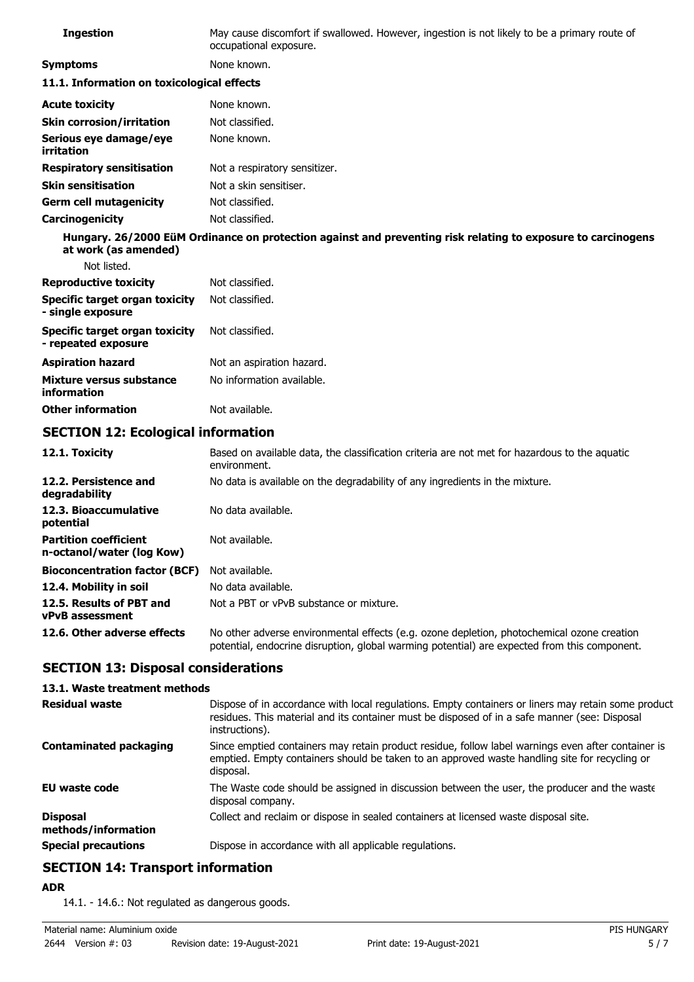| <b>Ingestion</b>                           | May cause discomfort if swallowed. However, ingestion is not likely to be a primary route of<br>occupational exposure. |
|--------------------------------------------|------------------------------------------------------------------------------------------------------------------------|
| <b>Symptoms</b>                            | None known.                                                                                                            |
| 11.1. Information on toxicological effects |                                                                                                                        |
| <b>Acute toxicity</b>                      | None known.                                                                                                            |
| <b>Skin corrosion/irritation</b>           | Not classified.                                                                                                        |
| Serious eye damage/eye<br>irritation       | None known.                                                                                                            |
| <b>Respiratory sensitisation</b>           | Not a respiratory sensitizer.                                                                                          |
| <b>Skin sensitisation</b>                  | Not a skin sensitiser.                                                                                                 |
| <b>Germ cell mutagenicity</b>              | Not classified.                                                                                                        |
| Carcinogenicity                            | Not classified.                                                                                                        |
| at work (as amended)                       | Hungary. 26/2000 EüM Ordinance on protection against and preventing risk relating to exposure to carcinogens           |
| Not listed.                                |                                                                                                                        |
| <b>Reproductive toxicity</b>               | Not classified.                                                                                                        |
| Specific target organ toxicity             | Not classified.                                                                                                        |

| - single exposure                                     |                           |
|-------------------------------------------------------|---------------------------|
| Specific target organ toxicity<br>- repeated exposure | Not classified.           |
| Aspiration hazard                                     | Not an aspiration hazard. |
| Mixture versus substance<br>information               | No information available. |

**Other information** Not available.

# **SECTION 12: Ecological information**

| 12.1. Toxicity                                            | Based on available data, the classification criteria are not met for hazardous to the aquatic<br>environment.                                                                              |
|-----------------------------------------------------------|--------------------------------------------------------------------------------------------------------------------------------------------------------------------------------------------|
| 12.2. Persistence and<br>degradability                    | No data is available on the degradability of any ingredients in the mixture.                                                                                                               |
| 12.3. Bioaccumulative<br>potential                        | No data available.                                                                                                                                                                         |
| <b>Partition coefficient</b><br>n-octanol/water (log Kow) | Not available.                                                                                                                                                                             |
| <b>Bioconcentration factor (BCF)</b>                      | Not available.                                                                                                                                                                             |
| 12.4. Mobility in soil                                    | No data available.                                                                                                                                                                         |
| 12.5. Results of PBT and<br><b>vPvB</b> assessment        | Not a PBT or vPvB substance or mixture.                                                                                                                                                    |
| 12.6. Other adverse effects                               | No other adverse environmental effects (e.g. ozone depletion, photochemical ozone creation<br>potential, endocrine disruption, global warming potential) are expected from this component. |

# **SECTION 13: Disposal considerations**

### **13.1. Waste treatment methods**

| <b>Residual waste</b>                  | Dispose of in accordance with local regulations. Empty containers or liners may retain some product<br>residues. This material and its container must be disposed of in a safe manner (see: Disposal<br>instructions). |
|----------------------------------------|------------------------------------------------------------------------------------------------------------------------------------------------------------------------------------------------------------------------|
| <b>Contaminated packaging</b>          | Since emptied containers may retain product residue, follow label warnings even after container is<br>emptied. Empty containers should be taken to an approved waste handling site for recycling or<br>disposal.       |
| <b>EU waste code</b>                   | The Waste code should be assigned in discussion between the user, the producer and the waste<br>disposal company.                                                                                                      |
| <b>Disposal</b><br>methods/information | Collect and reclaim or dispose in sealed containers at licensed waste disposal site.                                                                                                                                   |
| <b>Special precautions</b>             | Dispose in accordance with all applicable regulations.                                                                                                                                                                 |

# **SECTION 14: Transport information**

**ADR**

14.1. - 14.6.: Not regulated as dangerous goods.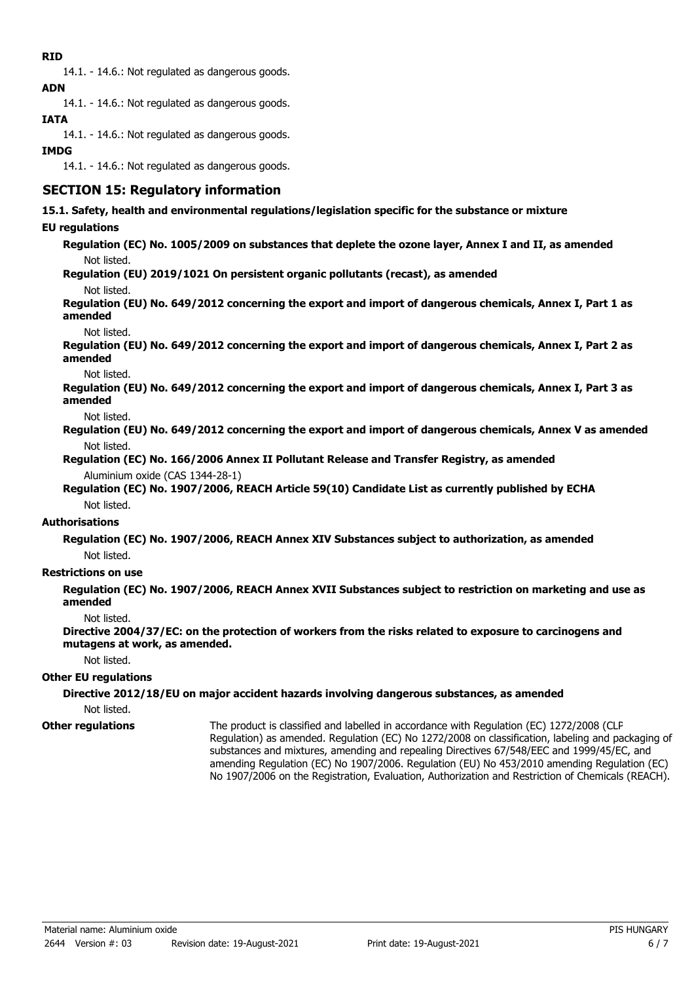## **RID**

14.1. - 14.6.: Not regulated as dangerous goods. **ADN**

14.1. - 14.6.: Not regulated as dangerous goods.

# **IATA**

14.1. - 14.6.: Not regulated as dangerous goods.

### **IMDG**

14.1. - 14.6.: Not regulated as dangerous goods.

# **SECTION 15: Regulatory information**

**15.1. Safety, health and environmental regulations/legislation specific for the substance or mixture**

### **EU regulations**

**Regulation (EC) No. 1005/2009 on substances that deplete the ozone layer, Annex I and II, as amended** Not listed.

**Regulation (EU) 2019/1021 On persistent organic pollutants (recast), as amended**

Not listed.

**Regulation (EU) No. 649/2012 concerning the export and import of dangerous chemicals, Annex I, Part 1 as amended**

Not listed.

**Regulation (EU) No. 649/2012 concerning the export and import of dangerous chemicals, Annex I, Part 2 as amended**

Not listed.

**Regulation (EU) No. 649/2012 concerning the export and import of dangerous chemicals, Annex I, Part 3 as amended**

Not listed.

- **Regulation (EU) No. 649/2012 concerning the export and import of dangerous chemicals, Annex V as amended** Not listed.
- **Regulation (EC) No. 166/2006 Annex II Pollutant Release and Transfer Registry, as amended** Aluminium oxide (CAS 1344-28-1)

**Regulation (EC) No. 1907/2006, REACH Article 59(10) Candidate List as currently published by ECHA** Not listed.

#### **Authorisations**

**Regulation (EC) No. 1907/2006, REACH Annex XIV Substances subject to authorization, as amended** Not listed.

### **Restrictions on use**

**Regulation (EC) No. 1907/2006, REACH Annex XVII Substances subject to restriction on marketing and use as amended**

Not listed.

**Directive 2004/37/EC: on the protection of workers from the risks related to exposure to carcinogens and mutagens at work, as amended.**

Not listed.

#### **Other EU regulations**

### **Directive 2012/18/EU on major accident hazards involving dangerous substances, as amended**

Not listed.

**Other regulations**

The product is classified and labelled in accordance with Regulation (EC) 1272/2008 (CLP Regulation) as amended. Regulation (EC) No 1272/2008 on classification, labeling and packaging of substances and mixtures, amending and repealing Directives 67/548/EEC and 1999/45/EC, and amending Regulation (EC) No 1907/2006. Regulation (EU) No 453/2010 amending Regulation (EC) No 1907/2006 on the Registration, Evaluation, Authorization and Restriction of Chemicals (REACH).